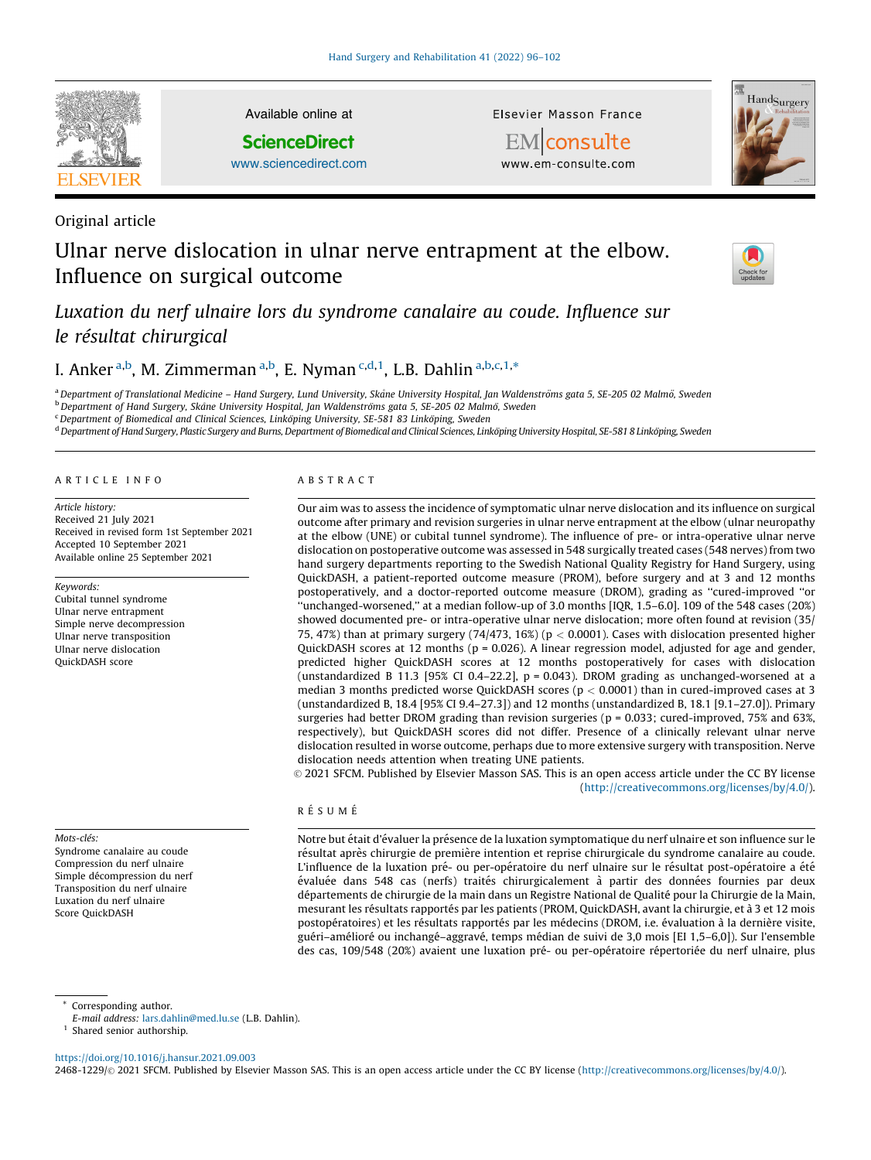

Original article

Available online at

**ScienceDirect** 

[www.sciencedirect.com](http://www.sciencedirect.com/science/journal/24681229)

Elsevier Masson France



**EM** consulte www.em-consulte.com

# Ulnar nerve dislocation in ulnar nerve entrapment at the elbow. Influence on surgical outcome



Luxation du nerf ulnaire lors du syndrome canalaire au coude. Influence sur le résultat chirurgical

## I. Anker <sup>a,b</sup>, M. Zimmerman <sup>a,b</sup>, E. Nyman <sup>c,d,1</sup>, L.B. Dahlin <sup>a,b,c,1,</sup>\*

<sup>a</sup> Department of Translational Medicine – Hand Surgery, Lund University, Skåne University Hospital, Jan Waldenströms gata 5, SE-205 02 Malmö, Sweden

<sup>b</sup> Department of Hand Surgery, Skåne University Hospital, Jan Waldenströms gata 5, SE-205 02 Malmö, Sweden

<sup>c</sup> Department of Biomedical and Clinical Sciences, Linköping University, SE-581 83 Linköping, Sweden

<sup>d</sup> Department of Hand Surgery, Plastic Surgery and Burns, Department of Biomedical and Clinical Sciences, Linköping University Hospital, SE-581 8 Linköping, Sweden

#### A R T I C L E I N F O

Article history: Received 21 July 2021 Received in revised form 1st September 2021 Accepted 10 September 2021 Available online 25 September 2021

#### Keywords:

Cubital tunnel syndrome Ulnar nerve entrapment Simple nerve decompression Ulnar nerve transposition Ulnar nerve dislocation QuickDASH score

Mots-clés: Syndrome canalaire au coude Compression du nerf ulnaire Simple décompression du nerf Transposition du nerf ulnaire Luxation du nerf ulnaire Score QuickDASH

### A B S T R A C T

Our aim was to assess the incidence of symptomatic ulnar nerve dislocation and its influence on surgical outcome after primary and revision surgeries in ulnar nerve entrapment at the elbow (ulnar neuropathy at the elbow (UNE) or cubital tunnel syndrome). The influence of pre- or intra-operative ulnar nerve dislocation on postoperative outcome was assessed in 548 surgically treated cases (548 nerves) from two hand surgery departments reporting to the Swedish National Quality Registry for Hand Surgery, using QuickDASH, a patient-reported outcome measure (PROM), before surgery and at 3 and 12 months postoperatively, and a doctor-reported outcome measure (DROM), grading as ''cured-improved ''or ''unchanged-worsened,'' at a median follow-up of 3.0 months [IQR, 1.5–6.0]. 109 of the 548 cases (20%) showed documented pre- or intra-operative ulnar nerve dislocation; more often found at revision (35/ 75, 47%) than at primary surgery  $(74/473, 16%)$  ( $p < 0.0001$ ). Cases with dislocation presented higher QuickDASH scores at 12 months (p = 0.026). A linear regression model, adjusted for age and gender, predicted higher QuickDASH scores at 12 months postoperatively for cases with dislocation (unstandardized B 11.3 [95% CI 0.4-22.2],  $p = 0.043$ ). DROM grading as unchanged-worsened at a median 3 months predicted worse QuickDASH scores (p < 0.0001) than in cured-improved cases at 3 (unstandardized B, 18.4 [95% CI 9.4–27.3]) and 12 months (unstandardized B, 18.1 [9.1–27.0]). Primary surgeries had better DROM grading than revision surgeries (p = 0.033; cured-improved, 75% and 63%, respectively), but QuickDASH scores did not differ. Presence of a clinically relevant ulnar nerve dislocation resulted in worse outcome, perhaps due to more extensive surgery with transposition. Nerve dislocation needs attention when treating UNE patients.

© 2021 SFCM. Published by Elsevier Masson SAS. This is an open access article under the CC BY license (<http://creativecommons.org/licenses/by/4.0/>).

#### R É S II M É

Notre but était d'évaluer la présence de la luxation symptomatique du nerf ulnaire et son influence sur le résultat après chirurgie de première intention et reprise chirurgicale du syndrome canalaire au coude. L'influence de la luxation pré- ou per-opératoire du nerf ulnaire sur le résultat post-opératoire a été évaluée dans 548 cas (nerfs) traités chirurgicalement à partir des données fournies par deux départements de chirurgie de la main dans un Registre National de Qualité pour la Chirurgie de la Main, mesurant les résultats rapportés par les patients (PROM, QuickDASH, avant la chirurgie, et à 3 et 12 mois postopératoires) et les résultats rapportés par les médecins (DROM, i.e. évaluation à la dernière visite, guéri-amélioré ou inchangé-aggravé, temps médian de suivi de 3,0 mois [EI 1,5-6,0]). Sur l'ensemble des cas, 109/548 (20%) avaient une luxation pré- ou per-opératoire répertoriée du nerf ulnaire, plus

\* Corresponding author.

E-mail address: [lars.dahlin@med.lu.se](mailto:lars.dahlin@med.lu.se) (L.B. Dahlin).

<sup>1</sup> Shared senior authorship.

<https://doi.org/10.1016/j.hansur.2021.09.003>

2468-1229/© 2021 SFCM. Published by Elsevier Masson SAS. This is an open access article under the CC BY license [\(http://creativecommons.org/licenses/by/4.0/](http://creativecommons.org/licenses/by/4.0/)).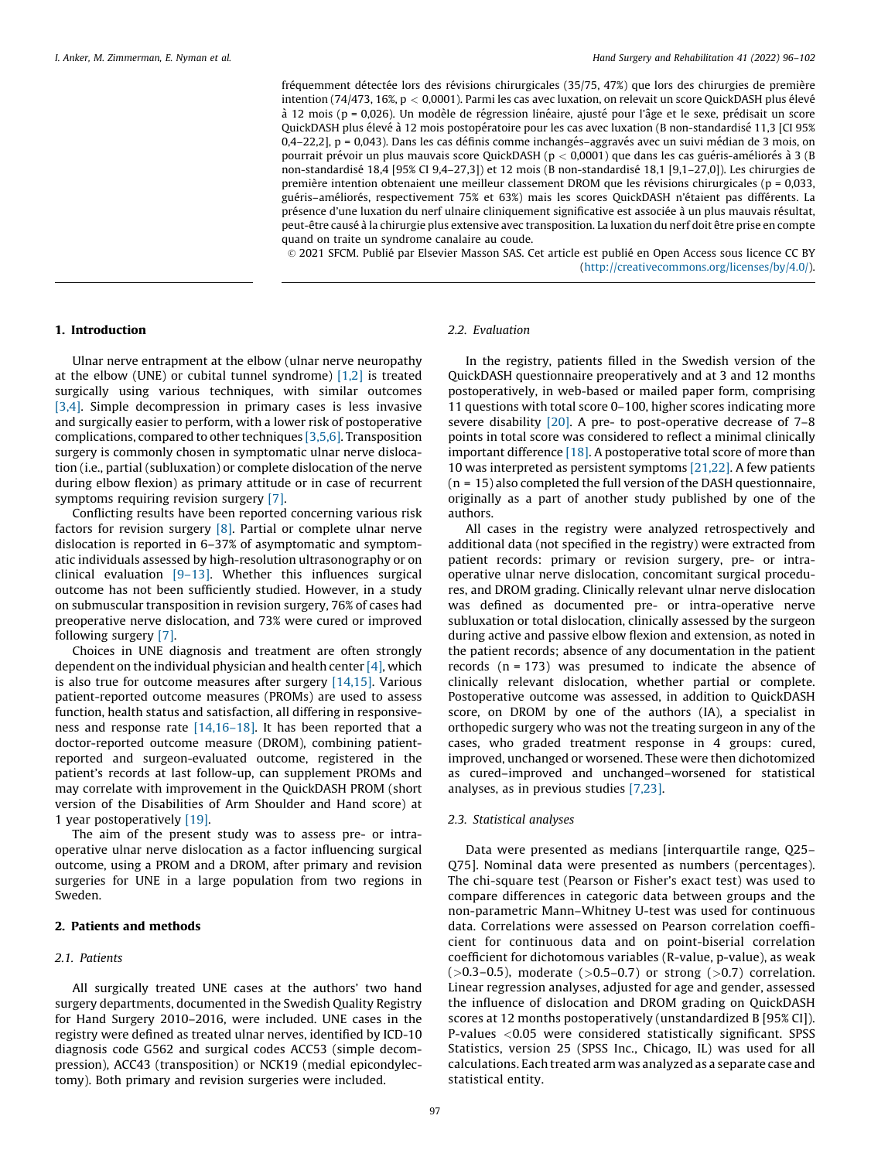fréquemment détectée lors des révisions chirurgicales (35/75, 47%) que lors des chirurgies de première intention (74/473, 16%,  $p < 0,0001$ ). Parmi les cas avec luxation, on relevait un score QuickDASH plus élevé à 12 mois (p = 0,026). Un modèle de régression linéaire, ajusté pour l'âge et le sexe, prédisait un score QuickDASH plus élevé à 12 mois postopératoire pour les cas avec luxation (B non-standardisé 11,3 [CI 95% 0,4–22,2], p = 0,043). Dans les cas définis comme inchangés–aggravés avec un suivi médian de 3 mois, on pourrait prévoir un plus mauvais score QuickDASH ( $p < 0,0001$ ) que dans les cas guéris-améliorés à 3 (B non-standardisé 18,4 [95% CI 9,4–27,3]) et 12 mois (B non-standardisé 18,1 [9,1–27,0]). Les chirurgies de première intention obtenaient une meilleur classement DROM que les révisions chirurgicales ( $p = 0.033$ , guéris–améliorés, respectivement 75% et 63%) mais les scores QuickDASH n'étaient pas différents. La présence d'une luxation du nerf ulnaire cliniquement significative est associée à un plus mauvais résultat, peut-être causé à la chirurgie plus extensive avec transposition. La luxation du nerf doit être prise en compte quand on traite un syndrome canalaire au coude.

© 2021 SFCM. Publié par Elsevier Masson SAS. Cet article est publié en Open Access sous licence CC BY (<http://creativecommons.org/licenses/by/4.0/>).

#### 1. Introduction

Ulnar nerve entrapment at the elbow (ulnar nerve neuropathy at the elbow (UNE) or cubital tunnel syndrome) [\[1,2\]](#page-5-0) is treated surgically using various techniques, with similar outcomes [\[3,4\]](#page-5-0). Simple decompression in primary cases is less invasive and surgically easier to perform, with a lower risk of postoperative complications, compared to other techniques [\[3,5,6\]](#page-5-0). Transposition surgery is commonly chosen in symptomatic ulnar nerve dislocation (i.e., partial (subluxation) or complete dislocation of the nerve during elbow flexion) as primary attitude or in case of recurrent symptoms requiring revision surgery [\[7\]](#page-6-0).

Conflicting results have been reported concerning various risk factors for revision surgery  $[8]$ . Partial or complete ulnar nerve dislocation is reported in 6–37% of asymptomatic and symptomatic individuals assessed by high-resolution ultrasonography or on clinical evaluation [\[9–13\].](#page-6-0) Whether this influences surgical outcome has not been sufficiently studied. However, in a study on submuscular transposition in revision surgery, 76% of cases had preoperative nerve dislocation, and 73% were cured or improved following surgery [\[7\].](#page-6-0)

Choices in UNE diagnosis and treatment are often strongly dependent on the individual physician and health center  $[4]$ , which is also true for outcome measures after surgery [\[14,15\]](#page-6-0). Various patient-reported outcome measures (PROMs) are used to assess function, health status and satisfaction, all differing in responsiveness and response rate [\[14,16–18\]](#page-6-0). It has been reported that a doctor-reported outcome measure (DROM), combining patientreported and surgeon-evaluated outcome, registered in the patient's records at last follow-up, can supplement PROMs and may correlate with improvement in the QuickDASH PROM (short version of the Disabilities of Arm Shoulder and Hand score) at 1 year postoperatively [\[19\]](#page-6-0).

The aim of the present study was to assess pre- or intraoperative ulnar nerve dislocation as a factor influencing surgical outcome, using a PROM and a DROM, after primary and revision surgeries for UNE in a large population from two regions in Sweden.

#### 2. Patients and methods

#### 2.1. Patients

All surgically treated UNE cases at the authors' two hand surgery departments, documented in the Swedish Quality Registry for Hand Surgery 2010–2016, were included. UNE cases in the registry were defined as treated ulnar nerves, identified by ICD-10 diagnosis code G562 and surgical codes ACC53 (simple decompression), ACC43 (transposition) or NCK19 (medial epicondylectomy). Both primary and revision surgeries were included.

### 2.2. Evaluation

In the registry, patients filled in the Swedish version of the QuickDASH questionnaire preoperatively and at 3 and 12 months postoperatively, in web-based or mailed paper form, comprising 11 questions with total score 0–100, higher scores indicating more severe disability [\[20\].](#page-6-0) A pre- to post-operative decrease of 7–8 points in total score was considered to reflect a minimal clinically important difference [\[18\].](#page-6-0) A postoperative total score of more than 10 was interpreted as persistent symptoms [\[21,22\]](#page-6-0). A few patients (n = 15) also completed the full version of the DASH questionnaire, originally as a part of another study published by one of the authors.

All cases in the registry were analyzed retrospectively and additional data (not specified in the registry) were extracted from patient records: primary or revision surgery, pre- or intraoperative ulnar nerve dislocation, concomitant surgical procedures, and DROM grading. Clinically relevant ulnar nerve dislocation was defined as documented pre- or intra-operative nerve subluxation or total dislocation, clinically assessed by the surgeon during active and passive elbow flexion and extension, as noted in the patient records; absence of any documentation in the patient records  $(n = 173)$  was presumed to indicate the absence of clinically relevant dislocation, whether partial or complete. Postoperative outcome was assessed, in addition to QuickDASH score, on DROM by one of the authors (IA), a specialist in orthopedic surgery who was not the treating surgeon in any of the cases, who graded treatment response in 4 groups: cured, improved, unchanged or worsened. These were then dichotomized as cured–improved and unchanged–worsened for statistical analyses, as in previous studies [\[7,23\].](#page-6-0)

#### 2.3. Statistical analyses

Data were presented as medians [interquartile range, Q25– Q75]. Nominal data were presented as numbers (percentages). The chi-square test (Pearson or Fisher's exact test) was used to compare differences in categoric data between groups and the non-parametric Mann–Whitney U-test was used for continuous data. Correlations were assessed on Pearson correlation coefficient for continuous data and on point-biserial correlation coefficient for dichotomous variables (R-value, p-value), as weak  $(>0.3-0.5)$ , moderate  $(>0.5-0.7)$  or strong  $(>0.7)$  correlation. Linear regression analyses, adjusted for age and gender, assessed the influence of dislocation and DROM grading on QuickDASH scores at 12 months postoperatively (unstandardized B [95% CI]). P-values <0.05 were considered statistically significant. SPSS Statistics, version 25 (SPSS Inc., Chicago, IL) was used for all calculations. Each treated arm was analyzed as a separate case and statistical entity.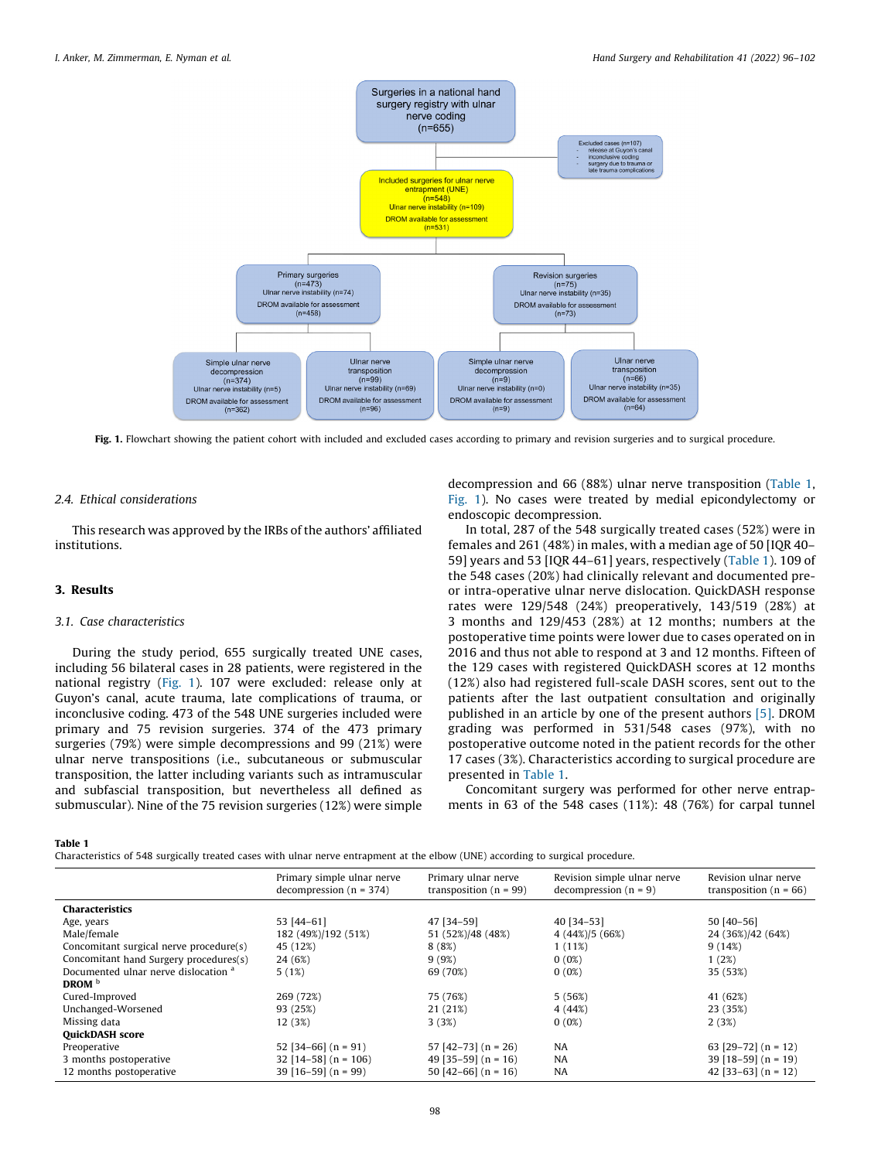

Fig. 1. Flowchart showing the patient cohort with included and excluded cases according to primary and revision surgeries and to surgical procedure.

#### 2.4. Ethical considerations

This research was approved by the IRBs of the authors' affiliated institutions.

#### 3. Results

#### 3.1. Case characteristics

During the study period, 655 surgically treated UNE cases, including 56 bilateral cases in 28 patients, were registered in the national registry (Fig. 1). 107 were excluded: release only at Guyon's canal, acute trauma, late complications of trauma, or inconclusive coding. 473 of the 548 UNE surgeries included were primary and 75 revision surgeries. 374 of the 473 primary surgeries (79%) were simple decompressions and 99 (21%) were ulnar nerve transpositions (i.e., subcutaneous or submuscular transposition, the latter including variants such as intramuscular and subfascial transposition, but nevertheless all defined as submuscular). Nine of the 75 revision surgeries (12%) were simple

decompression and 66 (88%) ulnar nerve transposition (Table 1, Fig. 1). No cases were treated by medial epicondylectomy or endoscopic decompression.

In total, 287 of the 548 surgically treated cases (52%) were in females and 261 (48%) in males, with a median age of 50 [IQR 40– 59] years and 53 [IQR 44–61] years, respectively (Table 1). 109 of the 548 cases (20%) had clinically relevant and documented preor intra-operative ulnar nerve dislocation. QuickDASH response rates were 129/548 (24%) preoperatively, 143/519 (28%) at 3 months and 129/453 (28%) at 12 months; numbers at the postoperative time points were lower due to cases operated on in 2016 and thus not able to respond at 3 and 12 months. Fifteen of the 129 cases with registered QuickDASH scores at 12 months (12%) also had registered full-scale DASH scores, sent out to the patients after the last outpatient consultation and originally published in an article by one of the present authors [\[5\].](#page-6-0) DROM grading was performed in 531/548 cases (97%), with no postoperative outcome noted in the patient records for the other 17 cases (3%). Characteristics according to surgical procedure are presented in Table 1.

Concomitant surgery was performed for other nerve entrapments in 63 of the 548 cases (11%): 48 (76%) for carpal tunnel

#### Table 1

Characteristics of 548 surgically treated cases with ulnar nerve entrapment at the elbow (UNE) according to surgical procedure.

|                                                 | Primary simple ulnar nerve<br>decompression $(n = 374)$ | Primary ulnar nerve<br>transposition ( $n = 99$ ) | Revision simple ulnar nerve<br>decompression $(n = 9)$ | Revision ulnar nerve<br>transposition ( $n = 66$ ) |
|-------------------------------------------------|---------------------------------------------------------|---------------------------------------------------|--------------------------------------------------------|----------------------------------------------------|
| Characteristics                                 |                                                         |                                                   |                                                        |                                                    |
| Age, years                                      | 53 [44-61]                                              | 47 [34-59]                                        | 40 [34-53]                                             | 50 [40-56]                                         |
| Male/female                                     | 182 (49%)/192 (51%)                                     | 51 (52%)/48 (48%)                                 | $4(44\%)/5(66\%)$                                      | 24 (36%)/42 (64%)                                  |
| Concomitant surgical nerve procedure(s)         | 45 (12%)                                                | 8(8%)                                             | $1(11\%)$                                              | 9(14%)                                             |
| Concomitant hand Surgery procedures(s)          | 24 (6%)                                                 | 9(9%)                                             | $0(0\%)$                                               | 1(2%)                                              |
| Documented ulnar nerve dislocation <sup>a</sup> | 5(1%)                                                   | 69 (70%)                                          | $0(0\%)$                                               | 35 (53%)                                           |
| DROM $b$                                        |                                                         |                                                   |                                                        |                                                    |
| Cured-Improved                                  | 269 (72%)                                               | 75 (76%)                                          | 5(56%)                                                 | 41 (62%)                                           |
| Unchanged-Worsened                              | 93 (25%)                                                | 21 (21%)                                          | 4(44%)                                                 | 23 (35%)                                           |
| Missing data                                    | 12 (3%)                                                 | 3(3%)                                             | $0(0\%)$                                               | 2(3%)                                              |
| <b>QuickDASH</b> score                          |                                                         |                                                   |                                                        |                                                    |
| Preoperative                                    | 52 [34-66] $(n = 91)$                                   | $57$ [42-73] (n = 26)                             | <b>NA</b>                                              | 63 $[29-72]$ (n = 12)                              |
| 3 months postoperative                          | $32$ [14-58] (n = 106)                                  | 49 $[35-59]$ (n = 16)                             | <b>NA</b>                                              | $39$ [18-59] (n = 19)                              |
| 12 months postoperative                         | $39$ [16-59] (n = 99)                                   | 50 [42-66] $(n = 16)$                             | <b>NA</b>                                              | 42 [33-63] $(n = 12)$                              |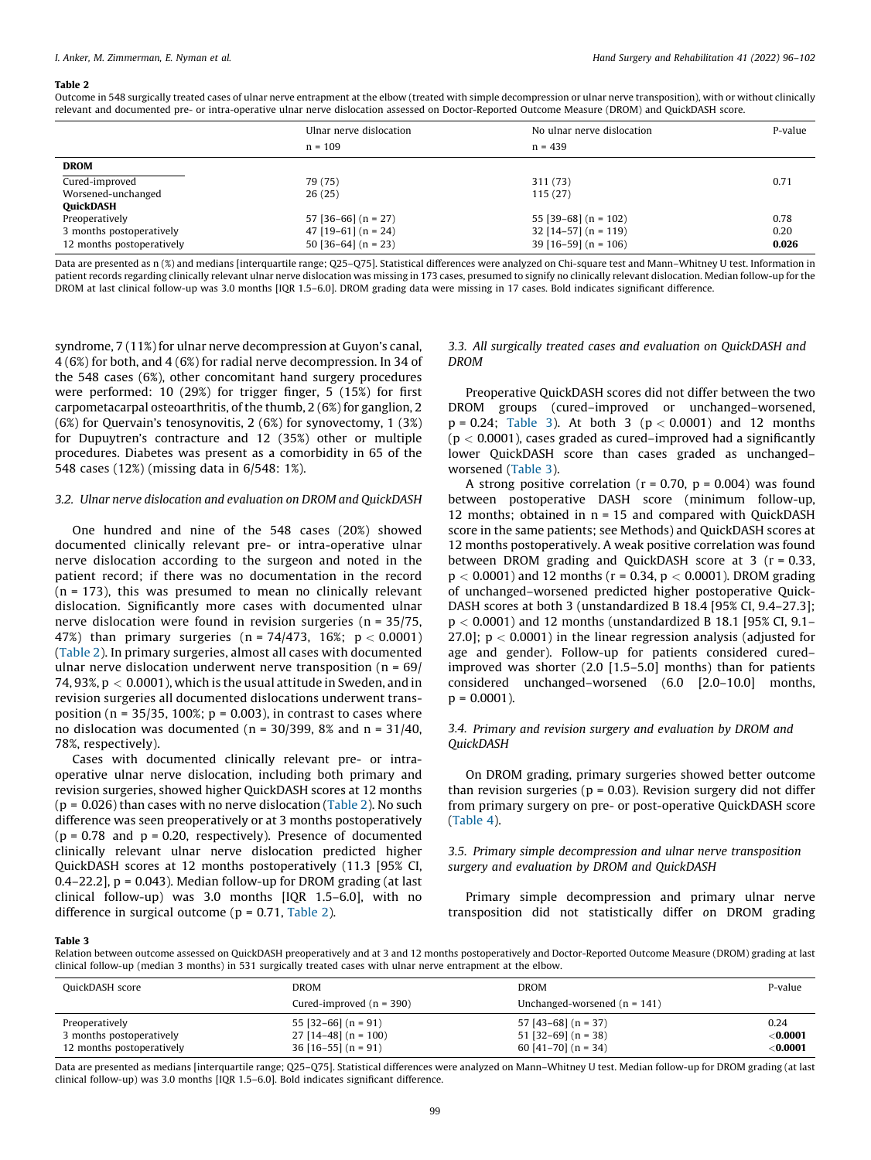#### Table 2

Outcome in 548 surgically treated cases of ulnar nerve entrapment at the elbow (treated with simple decompression or ulnar nerve transposition), with or without clinically relevant and documented pre- or intra-operative ulnar nerve dislocation assessed on Doctor-Reported Outcome Measure (DROM) and QuickDASH score.

|                           | Ulnar nerve dislocation | No ulnar nerve dislocation | P-value |
|---------------------------|-------------------------|----------------------------|---------|
|                           | $n = 109$               | $n = 439$                  |         |
| <b>DROM</b>               |                         |                            |         |
| Cured-improved            | 79 (75)                 | 311 (73)                   | 0.71    |
| Worsened-unchanged        | 26(25)                  | 115(27)                    |         |
| <b>QuickDASH</b>          |                         |                            |         |
| Preoperatively            | $57$ [36-66] (n = 27)   | 55 [39-68] $(n = 102)$     | 0.78    |
| 3 months postoperatively  | $47$ [19-61] (n = 24)   | $32$ [14-57] (n = 119)     | 0.20    |
| 12 months postoperatively | $50$ [36-64] (n = 23)   | $39$ [16-59] (n = 106)     | 0.026   |

Data are presented as n (%) and medians [interquartile range; Q25-Q75]. Statistical differences were analyzed on Chi-square test and Mann-Whitney U test. Information in patient records regarding clinically relevant ulnar nerve dislocation was missing in 173 cases, presumed to signify no clinically relevant dislocation. Median follow-up for the DROM at last clinical follow-up was 3.0 months [IQR 1.5–6.0]. DROM grading data were missing in 17 cases. Bold indicates significant difference.

syndrome, 7 (11%) for ulnar nerve decompression at Guyon's canal, 4 (6%) for both, and 4 (6%) for radial nerve decompression. In 34 of the 548 cases (6%), other concomitant hand surgery procedures were performed: 10 (29%) for trigger finger, 5 (15%) for first carpometacarpal osteoarthritis, of the thumb, 2 (6%) for ganglion, 2 (6%) for Quervain's tenosynovitis, 2 (6%) for synovectomy, 1 (3%) for Dupuytren's contracture and 12 (35%) other or multiple procedures. Diabetes was present as a comorbidity in 65 of the 548 cases (12%) (missing data in 6/548: 1%).

#### 3.2. Ulnar nerve dislocation and evaluation on DROM and QuickDASH

One hundred and nine of the 548 cases (20%) showed documented clinically relevant pre- or intra-operative ulnar nerve dislocation according to the surgeon and noted in the patient record; if there was no documentation in the record  $(n = 173)$ , this was presumed to mean no clinically relevant dislocation. Significantly more cases with documented ulnar nerve dislocation were found in revision surgeries (n = 35/75, 47%) than primary surgeries  $(n = 74/473, 16\%)$ ;  $p < 0.0001$ (Table 2). In primary surgeries, almost all cases with documented ulnar nerve dislocation underwent nerve transposition ( $n = 69/$ 74, 93%,  $p < 0.0001$ ), which is the usual attitude in Sweden, and in revision surgeries all documented dislocations underwent transposition ( $n = 35/35$ , 100%;  $p = 0.003$ ), in contrast to cases where no dislocation was documented ( $n = 30/399$ , 8% and  $n = 31/40$ , 78%, respectively).

Cases with documented clinically relevant pre- or intraoperative ulnar nerve dislocation, including both primary and revision surgeries, showed higher QuickDASH scores at 12 months  $(p = 0.026)$  than cases with no nerve dislocation (Table 2). No such difference was seen preoperatively or at 3 months postoperatively  $(p = 0.78$  and  $p = 0.20$ , respectively). Presence of documented clinically relevant ulnar nerve dislocation predicted higher QuickDASH scores at 12 months postoperatively (11.3 [95% CI,  $0.4-22.2$ ],  $p = 0.043$ ). Median follow-up for DROM grading (at last clinical follow-up) was 3.0 months [IQR 1.5–6.0], with no difference in surgical outcome ( $p = 0.71$ , Table 2).

#### 3.3. All surgically treated cases and evaluation on QuickDASH and DROM

Preoperative QuickDASH scores did not differ between the two DROM groups (cured–improved or unchanged–worsened,  $p = 0.24$ ; Table 3). At both 3 ( $p < 0.0001$ ) and 12 months  $(p < 0.0001)$ , cases graded as cured–improved had a significantly lower QuickDASH score than cases graded as unchanged– worsened (Table 3).

A strong positive correlation ( $r = 0.70$ ,  $p = 0.004$ ) was found between postoperative DASH score (minimum follow-up, 12 months; obtained in n = 15 and compared with QuickDASH score in the same patients; see Methods) and QuickDASH scores at 12 months postoperatively. A weak positive correlation was found between DROM grading and QuickDASH score at 3 (r = 0.33,  $p < 0.0001$  and 12 months ( $r = 0.34$ ,  $p < 0.0001$ ). DROM grading of unchanged–worsened predicted higher postoperative Quick-DASH scores at both 3 (unstandardized B 18.4 [95% CI, 9.4–27.3];  $p < 0.0001$ ) and 12 months (unstandardized B 18.1 [95% CI, 9.1– 27.0];  $p < 0.0001$  in the linear regression analysis (adjusted for age and gender). Follow-up for patients considered cured– improved was shorter (2.0 [1.5–5.0] months) than for patients considered unchanged–worsened (6.0 [2.0–10.0] months,  $p = 0.0001$ ).

#### 3.4. Primary and revision surgery and evaluation by DROM and QuickDASH

On DROM grading, primary surgeries showed better outcome than revision surgeries ( $p = 0.03$ ). Revision surgery did not differ from primary surgery on pre- or post-operative QuickDASH score ([Table](#page-4-0) 4).

#### 3.5. Primary simple decompression and ulnar nerve transposition surgery and evaluation by DROM and QuickDASH

Primary simple decompression and primary ulnar nerve transposition did not statistically differ on DROM grading

#### Table 3

Relation between outcome assessed on QuickDASH preoperatively and at 3 and 12 months postoperatively and Doctor-Reported Outcome Measure (DROM) grading at last clinical follow-up (median 3 months) in 531 surgically treated cases with ulnar nerve entrapment at the elbow.

| QuickDASH score                                       | DROM                                            | <b>DROM</b>                                    | P-value                            |
|-------------------------------------------------------|-------------------------------------------------|------------------------------------------------|------------------------------------|
|                                                       | Cured-improved $(n = 390)$                      | Unchanged-worsened $(n = 141)$                 |                                    |
| Preoperatively                                        | $55$ [32-66] (n = 91)                           | $57$ [43–68] (n = 37)                          | 0.24                               |
| 3 months postoperatively<br>12 months postoperatively | $27$ [14-48] (n = 100)<br>$36$ [16-55] (n = 91) | $51$ [32-69] (n = 38)<br>60 [41-70] $(n = 34)$ | $<$ 0.0001 $\,$<br>$<$ 0.0001 $\,$ |

Data are presented as medians [interquartile range; Q25–Q75]. Statistical differences were analyzed on Mann–Whitney U test. Median follow-up for DROM grading (at last clinical follow-up) was 3.0 months [IQR 1.5–6.0]. Bold indicates significant difference.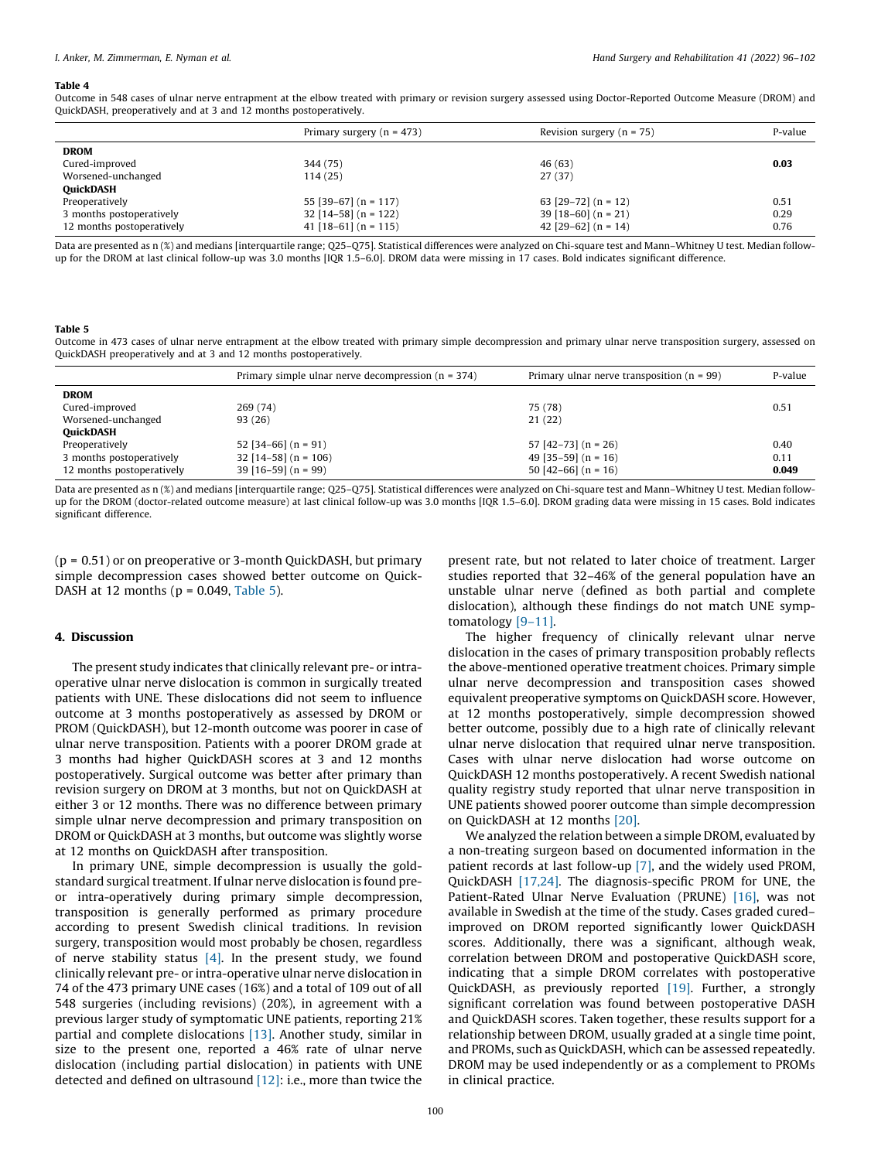#### <span id="page-4-0"></span>Table 4

Outcome in 548 cases of ulnar nerve entrapment at the elbow treated with primary or revision surgery assessed using Doctor-Reported Outcome Measure (DROM) and QuickDASH, preoperatively and at 3 and 12 months postoperatively.

|                           | Primary surgery ( $n = 473$ ) | Revision surgery $(n = 75)$ | P-value |
|---------------------------|-------------------------------|-----------------------------|---------|
| <b>DROM</b>               |                               |                             |         |
| Cured-improved            | 344 (75)                      | 46 (63)                     | 0.03    |
| Worsened-unchanged        | 114 (25)                      | 27(37)                      |         |
| <b>QuickDASH</b>          |                               |                             |         |
| Preoperatively            | 55 [39-67] (n = 117)          | 63 [29-72] $(n = 12)$       | 0.51    |
| 3 months postoperatively  | $32$ [14-58] (n = 122)        | $39$ [18-60] (n = 21)       | 0.29    |
| 12 months postoperatively | 41 $[18-61]$ (n = 115)        | 42 $[29-62]$ (n = 14)       | 0.76    |

Data are presented as n (%) and medians [interquartile range; Q25–Q75]. Statistical differences were analyzed on Chi-square test and Mann–Whitney U test. Median followup for the DROM at last clinical follow-up was 3.0 months [IQR 1.5–6.0]. DROM data were missing in 17 cases. Bold indicates significant difference.

#### Table 5

Outcome in 473 cases of ulnar nerve entrapment at the elbow treated with primary simple decompression and primary ulnar nerve transposition surgery, assessed on QuickDASH preoperatively and at 3 and 12 months postoperatively.

| Primary simple ulnar nerve decompression $(n = 374)$ | Primary ulnar nerve transposition $(n = 99)$ | P-value |
|------------------------------------------------------|----------------------------------------------|---------|
|                                                      |                                              |         |
| 269 (74)                                             | 75 (78)                                      | 0.51    |
| 93 (26)                                              | 21(22)                                       |         |
|                                                      |                                              |         |
| $52$ [34-66] (n = 91)                                | $57$ [42-73] (n = 26)                        | 0.40    |
| $32$ [14-58] (n = 106)                               | 49 $[35-59]$ (n = 16)                        | 0.11    |
| $39$ [16-59] (n = 99)                                | 50 [42-66] $(n = 16)$                        | 0.049   |
|                                                      |                                              |         |

Data are presented as n (%) and medians [interquartile range; Q25–Q75]. Statistical differences were analyzed on Chi-square test and Mann–Whitney U test. Median followup for the DROM (doctor-related outcome measure) at last clinical follow-up was 3.0 months [IQR 1.5–6.0]. DROM grading data were missing in 15 cases. Bold indicates significant difference.

(p = 0.51) or on preoperative or 3-month QuickDASH, but primary simple decompression cases showed better outcome on Quick-DASH at 12 months ( $p = 0.049$ , Table 5).

#### 4. Discussion

The present study indicates that clinically relevant pre- or intraoperative ulnar nerve dislocation is common in surgically treated patients with UNE. These dislocations did not seem to influence outcome at 3 months postoperatively as assessed by DROM or PROM (QuickDASH), but 12-month outcome was poorer in case of ulnar nerve transposition. Patients with a poorer DROM grade at 3 months had higher QuickDASH scores at 3 and 12 months postoperatively. Surgical outcome was better after primary than revision surgery on DROM at 3 months, but not on QuickDASH at either 3 or 12 months. There was no difference between primary simple ulnar nerve decompression and primary transposition on DROM or QuickDASH at 3 months, but outcome was slightly worse at 12 months on QuickDASH after transposition.

In primary UNE, simple decompression is usually the goldstandard surgical treatment. If ulnar nerve dislocation is found preor intra-operatively during primary simple decompression, transposition is generally performed as primary procedure according to present Swedish clinical traditions. In revision surgery, transposition would most probably be chosen, regardless of nerve stability status  $[4]$ . In the present study, we found clinically relevant pre- or intra-operative ulnar nerve dislocation in 74 of the 473 primary UNE cases (16%) and a total of 109 out of all 548 surgeries (including revisions) (20%), in agreement with a previous larger study of symptomatic UNE patients, reporting 21% partial and complete dislocations [\[13\]](#page-6-0). Another study, similar in size to the present one, reported a 46% rate of ulnar nerve dislocation (including partial dislocation) in patients with UNE detected and defined on ultrasound  $[12]$ : i.e., more than twice the

present rate, but not related to later choice of treatment. Larger studies reported that 32–46% of the general population have an unstable ulnar nerve (defined as both partial and complete dislocation), although these findings do not match UNE symptomatology [\[9–11\]](#page-6-0).

The higher frequency of clinically relevant ulnar nerve dislocation in the cases of primary transposition probably reflects the above-mentioned operative treatment choices. Primary simple ulnar nerve decompression and transposition cases showed equivalent preoperative symptoms on QuickDASH score. However, at 12 months postoperatively, simple decompression showed better outcome, possibly due to a high rate of clinically relevant ulnar nerve dislocation that required ulnar nerve transposition. Cases with ulnar nerve dislocation had worse outcome on QuickDASH 12 months postoperatively. A recent Swedish national quality registry study reported that ulnar nerve transposition in UNE patients showed poorer outcome than simple decompression on QuickDASH at 12 months [\[20\].](#page-6-0)

We analyzed the relation between a simple DROM, evaluated by a non-treating surgeon based on documented information in the patient records at last follow-up [\[7\],](#page-6-0) and the widely used PROM, QuickDASH [\[17,24\]](#page-6-0). The diagnosis-specific PROM for UNE, the Patient-Rated Ulnar Nerve Evaluation (PRUNE) [\[16\]](#page-6-0), was not available in Swedish at the time of the study. Cases graded cured– improved on DROM reported significantly lower QuickDASH scores. Additionally, there was a significant, although weak, correlation between DROM and postoperative QuickDASH score, indicating that a simple DROM correlates with postoperative QuickDASH, as previously reported [\[19\]](#page-6-0). Further, a strongly significant correlation was found between postoperative DASH and QuickDASH scores. Taken together, these results support for a relationship between DROM, usually graded at a single time point, and PROMs, such as QuickDASH, which can be assessed repeatedly. DROM may be used independently or as a complement to PROMs in clinical practice.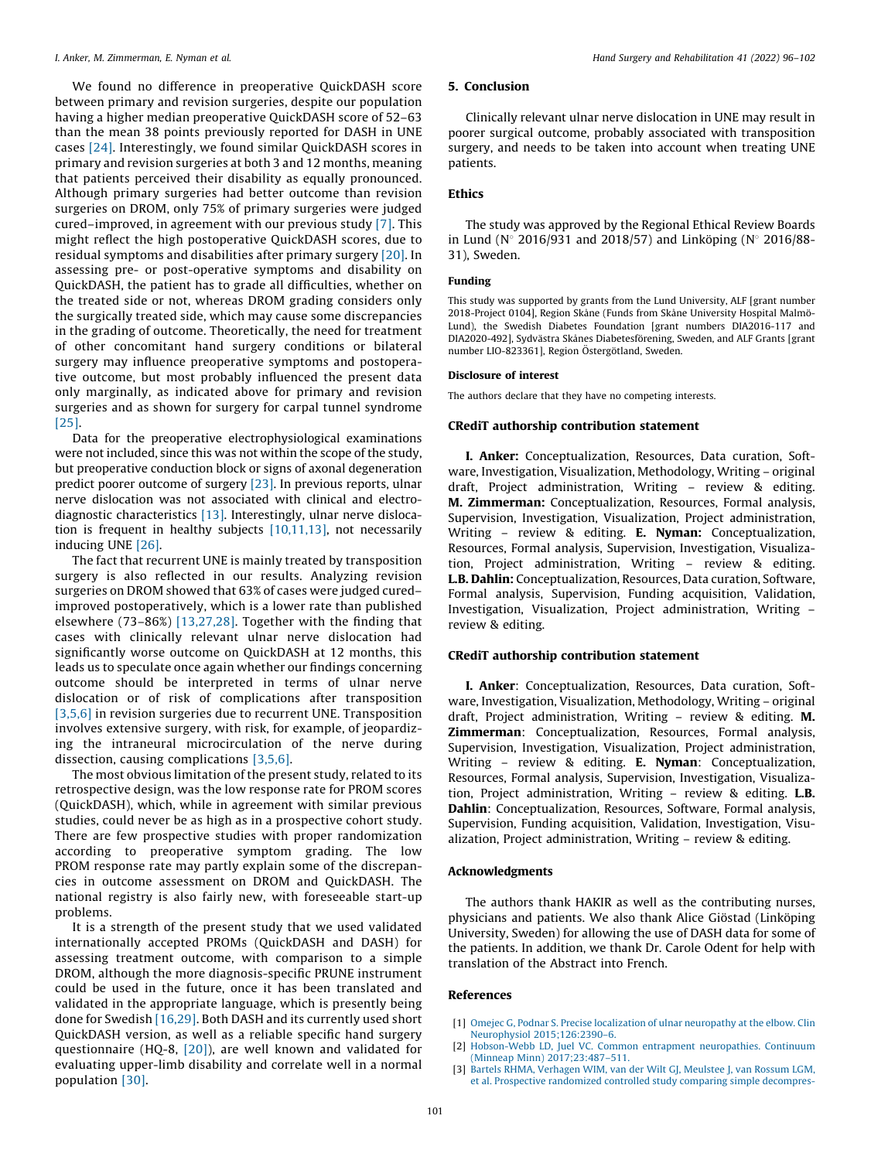<span id="page-5-0"></span>We found no difference in preoperative QuickDASH score between primary and revision surgeries, despite our population having a higher median preoperative QuickDASH score of 52–63 than the mean 38 points previously reported for DASH in UNE cases [\[24\]](#page-6-0). Interestingly, we found similar QuickDASH scores in primary and revision surgeries at both 3 and 12 months, meaning that patients perceived their disability as equally pronounced. Although primary surgeries had better outcome than revision surgeries on DROM, only 75% of primary surgeries were judged cured–improved, in agreement with our previous study [\[7\]](#page-6-0). This might reflect the high postoperative QuickDASH scores, due to residual symptoms and disabilities after primary surgery [\[20\]](#page-6-0). In assessing pre- or post-operative symptoms and disability on QuickDASH, the patient has to grade all difficulties, whether on the treated side or not, whereas DROM grading considers only the surgically treated side, which may cause some discrepancies in the grading of outcome. Theoretically, the need for treatment of other concomitant hand surgery conditions or bilateral surgery may influence preoperative symptoms and postoperative outcome, but most probably influenced the present data only marginally, as indicated above for primary and revision surgeries and as shown for surgery for carpal tunnel syndrome [\[25\].](#page-6-0)

Data for the preoperative electrophysiological examinations were not included, since this was not within the scope of the study, but preoperative conduction block or signs of axonal degeneration predict poorer outcome of surgery [\[23\]](#page-6-0). In previous reports, ulnar nerve dislocation was not associated with clinical and electrodiagnostic characteristics [\[13\]](#page-6-0). Interestingly, ulnar nerve dislocation is frequent in healthy subjects [\[10,11,13\]](#page-6-0), not necessarily inducing UNE [\[26\].](#page-6-0)

The fact that recurrent UNE is mainly treated by transposition surgery is also reflected in our results. Analyzing revision surgeries on DROM showed that 63% of cases were judged cured– improved postoperatively, which is a lower rate than published elsewhere (73–86%) [\[13,27,28\].](#page-6-0) Together with the finding that cases with clinically relevant ulnar nerve dislocation had significantly worse outcome on QuickDASH at 12 months, this leads us to speculate once again whether our findings concerning outcome should be interpreted in terms of ulnar nerve dislocation or of risk of complications after transposition [3,5,6] in revision surgeries due to recurrent UNE. Transposition involves extensive surgery, with risk, for example, of jeopardizing the intraneural microcirculation of the nerve during dissection, causing complications [3,5,6].

The most obvious limitation of the present study, related to its retrospective design, was the low response rate for PROM scores (QuickDASH), which, while in agreement with similar previous studies, could never be as high as in a prospective cohort study. There are few prospective studies with proper randomization according to preoperative symptom grading. The low PROM response rate may partly explain some of the discrepancies in outcome assessment on DROM and QuickDASH. The national registry is also fairly new, with foreseeable start-up problems.

It is a strength of the present study that we used validated internationally accepted PROMs (QuickDASH and DASH) for assessing treatment outcome, with comparison to a simple DROM, although the more diagnosis-specific PRUNE instrument could be used in the future, once it has been translated and validated in the appropriate language, which is presently being done for Swedish [\[16,29\]](#page-6-0). Both DASH and its currently used short QuickDASH version, as well as a reliable specific hand surgery questionnaire (HQ-8, [\[20\]\)](#page-6-0), are well known and validated for evaluating upper-limb disability and correlate well in a normal population [\[30\]](#page-6-0).

#### 5. Conclusion

Clinically relevant ulnar nerve dislocation in UNE may result in poorer surgical outcome, probably associated with transposition surgery, and needs to be taken into account when treating UNE patients.

#### Ethics

The study was approved by the Regional Ethical Review Boards in Lund (N° 2016/931 and 2018/57) and Linköping (N° 2016/88-31), Sweden.

#### Funding

This study was supported by grants from the Lund University, ALF [grant number 2018-Project 0104], Region Skåne (Funds from Skåne University Hospital Malmö-Lund), the Swedish Diabetes Foundation [grant numbers DIA2016-117 and DIA2020-492], Sydvästra Skånes Diabetesförening, Sweden, and ALF Grants [grant number LIO-823361], Region Östergötland, Sweden.

#### Disclosure of interest

The authors declare that they have no competing interests.

#### CRediT authorship contribution statement

I. Anker: Conceptualization, Resources, Data curation, Software, Investigation, Visualization, Methodology, Writing – original draft, Project administration, Writing – review & editing. M. Zimmerman: Conceptualization, Resources, Formal analysis, Supervision, Investigation, Visualization, Project administration, Writing – review & editing. E. Nyman: Conceptualization, Resources, Formal analysis, Supervision, Investigation, Visualization, Project administration, Writing – review & editing. L.B. Dahlin: Conceptualization, Resources, Data curation, Software, Formal analysis, Supervision, Funding acquisition, Validation, Investigation, Visualization, Project administration, Writing – review & editing.

#### CRediT authorship contribution statement

I. Anker: Conceptualization, Resources, Data curation, Software, Investigation, Visualization, Methodology, Writing – original draft, Project administration, Writing – review & editing. M. Zimmerman: Conceptualization, Resources, Formal analysis, Supervision, Investigation, Visualization, Project administration, Writing – review & editing. E. Nyman: Conceptualization, Resources, Formal analysis, Supervision, Investigation, Visualization, Project administration, Writing – review & editing. L.B. Dahlin: Conceptualization, Resources, Software, Formal analysis, Supervision, Funding acquisition, Validation, Investigation, Visualization, Project administration, Writing – review & editing.

#### Acknowledgments

The authors thank HAKIR as well as the contributing nurses, physicians and patients. We also thank Alice Giöstad (Linköping University, Sweden) for allowing the use of DASH data for some of the patients. In addition, we thank Dr. Carole Odent for help with translation of the Abstract into French.

#### References

- [1] Omejec G, Podnar S. Precise localization of ulnar [neuropathy](http://refhub.elsevier.com/S2468-1229(21)00277-2/sbref0005) at the elbow. Clin Neurophysiol [2015;126:2390–6](http://refhub.elsevier.com/S2468-1229(21)00277-2/sbref0005).
- [2] [Hobson-Webb](http://refhub.elsevier.com/S2468-1229(21)00277-2/sbref0010) LD, Juel VC. Common entrapment neuropathies. Continuum (Minneap Minn) [2017;23:487–511](http://refhub.elsevier.com/S2468-1229(21)00277-2/sbref0010).
- [3] Bartels RHMA, [Verhagen](http://refhub.elsevier.com/S2468-1229(21)00277-2/sbref0015) WIM, van der Wilt GJ, Meulstee J, van Rossum LGM, et al. Prospective [randomized](http://refhub.elsevier.com/S2468-1229(21)00277-2/sbref0015) controlled study comparing simple decompres-